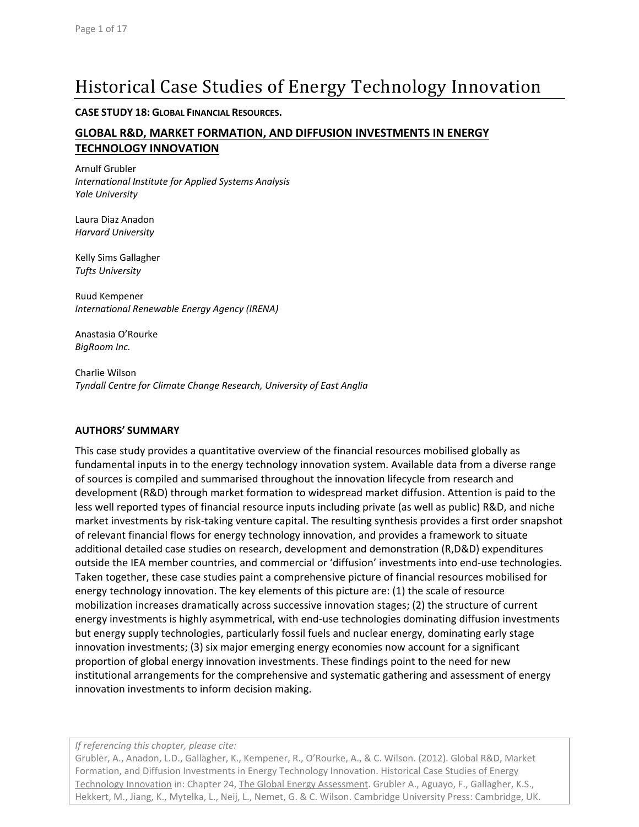# Historical Case Studies of Energy Technology Innovation

**CASE STUDY 18: GLOBAL FINANCIAL RESOURCES.**

## **GLOBAL R&D, MARKET FORMATION, AND DIFFUSION INVESTMENTS IN ENERGY TECHNOLOGY INNOVATION**

Arnulf Grubler *International Institute for Applied Systems Analysis Yale University*

Laura Diaz Anadon *Harvard University*

Kelly Sims Gallagher *Tufts University*

Ruud Kempener *International Renewable Energy Agency (IRENA)*

Anastasia O'Rourke *BigRoom Inc.*

Charlie Wilson *Tyndall Centre for Climate Change Research, University of East Anglia*

#### **AUTHORS' SUMMARY**

This case study provides a quantitative overview of the financial resources mobilised globally as fundamental inputs in to the energy technology innovation system. Available data from a diverse range of sources is compiled and summarised throughout the innovation lifecycle from research and development (R&D) through market formation to widespread market diffusion. Attention is paid to the less well reported types of financial resource inputs including private (as well as public) R&D, and niche market investments by risk‐taking venture capital. The resulting synthesis provides a first order snapshot of relevant financial flows for energy technology innovation, and provides a framework to situate additional detailed case studies on research, development and demonstration (R,D&D) expenditures outside the IEA member countries, and commercial or 'diffusion' investments into end‐use technologies. Taken together, these case studies paint a comprehensive picture of financial resources mobilised for energy technology innovation. The key elements of this picture are: (1) the scale of resource mobilization increases dramatically across successive innovation stages; (2) the structure of current energy investments is highly asymmetrical, with end‐use technologies dominating diffusion investments but energy supply technologies, particularly fossil fuels and nuclear energy, dominating early stage innovation investments; (3) six major emerging energy economies now account for a significant proportion of global energy innovation investments. These findings point to the need for new institutional arrangements for the comprehensive and systematic gathering and assessment of energy innovation investments to inform decision making.

*If referencing this chapter, please cite:*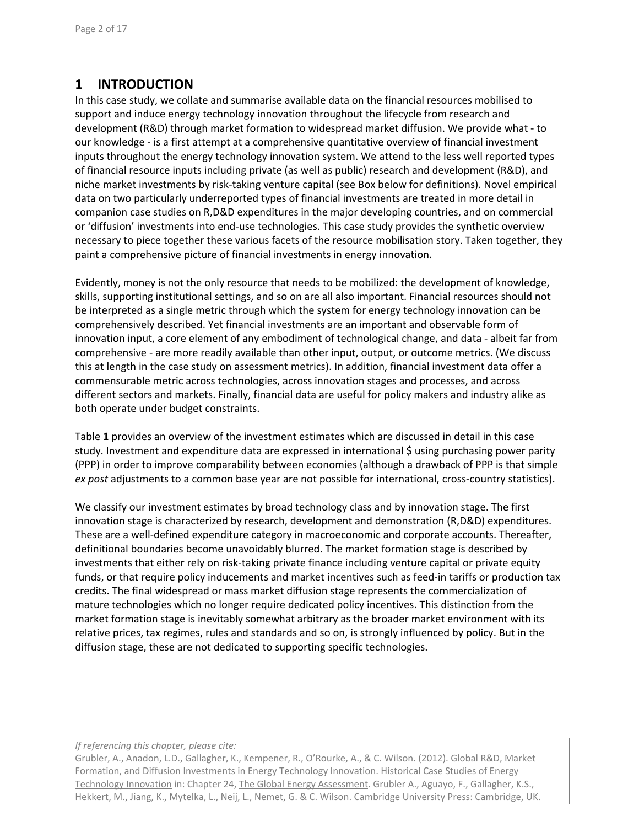## **1 INTRODUCTION**

In this case study, we collate and summarise available data on the financial resources mobilised to support and induce energy technology innovation throughout the lifecycle from research and development (R&D) through market formation to widespread market diffusion. We provide what ‐ to our knowledge ‐ is a first attempt at a comprehensive quantitative overview of financial investment inputs throughout the energy technology innovation system. We attend to the less well reported types of financial resource inputs including private (as well as public) research and development (R&D), and niche market investments by risk‐taking venture capital (see Box below for definitions). Novel empirical data on two particularly underreported types of financial investments are treated in more detail in companion case studies on R,D&D expenditures in the major developing countries, and on commercial or 'diffusion' investments into end‐use technologies. This case study provides the synthetic overview necessary to piece together these various facets of the resource mobilisation story. Taken together, they paint a comprehensive picture of financial investments in energy innovation.

Evidently, money is not the only resource that needs to be mobilized: the development of knowledge, skills, supporting institutional settings, and so on are all also important. Financial resources should not be interpreted as a single metric through which the system for energy technology innovation can be comprehensively described. Yet financial investments are an important and observable form of innovation input, a core element of any embodiment of technological change, and data ‐ albeit far from comprehensive ‐ are more readily available than other input, output, or outcome metrics. (We discuss this at length in the case study on assessment metrics). In addition, financial investment data offer a commensurable metric across technologies, across innovation stages and processes, and across different sectors and markets. Finally, financial data are useful for policy makers and industry alike as both operate under budget constraints.

Table **1** provides an overview of the investment estimates which are discussed in detail in this case study. Investment and expenditure data are expressed in international S using purchasing power parity (PPP) in order to improve comparability between economies (although a drawback of PPP is that simple *ex post* adjustments to a common base year are not possible for international, cross‐country statistics).

We classify our investment estimates by broad technology class and by innovation stage. The first innovation stage is characterized by research, development and demonstration (R,D&D) expenditures. These are a well-defined expenditure category in macroeconomic and corporate accounts. Thereafter, definitional boundaries become unavoidably blurred. The market formation stage is described by investments that either rely on risk-taking private finance including venture capital or private equity funds, or that require policy inducements and market incentives such as feed-in tariffs or production tax credits. The final widespread or mass market diffusion stage represents the commercialization of mature technologies which no longer require dedicated policy incentives. This distinction from the market formation stage is inevitably somewhat arbitrary as the broader market environment with its relative prices, tax regimes, rules and standards and so on, is strongly influenced by policy. But in the diffusion stage, these are not dedicated to supporting specific technologies.

*If referencing this chapter, please cite:*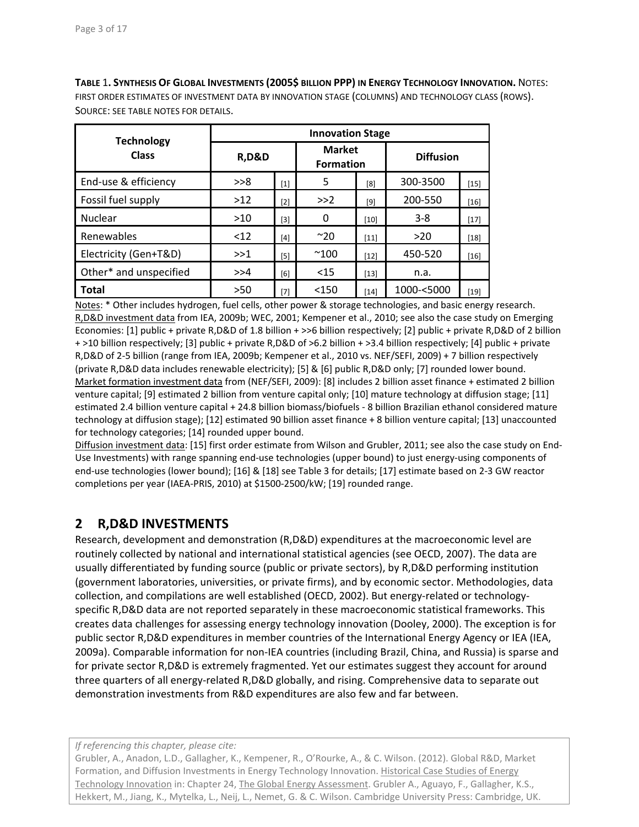| <b>Technology</b>      | <b>Innovation Stage</b>                               |       |                  |        |            |        |  |  |
|------------------------|-------------------------------------------------------|-------|------------------|--------|------------|--------|--|--|
| <b>Class</b>           | <b>Market</b><br><b>R,D&amp;D</b><br><b>Formation</b> |       | <b>Diffusion</b> |        |            |        |  |  |
| End-use & efficiency   | >>8                                                   | $[1]$ | 5                | [8]    | 300-3500   | $[15]$ |  |  |
| Fossil fuel supply     | >12                                                   | [2]   | $>>2$            | $[9]$  | 200-550    | $[16]$ |  |  |
| <b>Nuclear</b>         | $>10$                                                 | [3]   | 0                | [10]   | $3 - 8$    | $[17]$ |  |  |
| Renewables             | $<$ 12                                                | [4]   | $^{\sim}20$      | $[11]$ | >20        | $[18]$ |  |  |
| Electricity (Gen+T&D)  | >>1                                                   | [5]   | $^{\sim}100$     | $[12]$ | 450-520    | $[16]$ |  |  |
| Other* and unspecified | >>4                                                   | [6]   | $15$             | $[13]$ | n.a.       |        |  |  |
| <b>Total</b>           | >50                                                   | [7]   | < 150            | $[14]$ | 1000-<5000 | $[19]$ |  |  |

**TABLE** 1**. SYNTHESIS OF GLOBAL INVESTMENTS (2005\$ BILLION PPP) IN ENERGY TECHNOLOGY INNOVATION.** NOTES: FIRST ORDER ESTIMATES OF INVESTMENT DATA BY INNOVATION STAGE (COLUMNS) AND TECHNOLOGY CLASS (ROWS). SOURCE: SEE TABLE NOTES FOR DETAILS.

Notes: \* Other includes hydrogen, fuel cells, other power & storage technologies, and basic energy research. R,D&D investment data from IEA, 2009b; WEC, 2001; Kempener et al., 2010; see also the case study on Emerging Economies: [1] public + private R,D&D of 1.8 billion + >>6 billion respectively; [2] public + private R,D&D of 2 billion + >10 billion respectively; [3] public + private R,D&D of >6.2 billion + >3.4 billion respectively; [4] public + private R,D&D of 2‐5 billion (range from IEA, 2009b; Kempener et al., 2010 vs. NEF/SEFI, 2009) + 7 billion respectively (private R,D&D data includes renewable electricity); [5] & [6] public R,D&D only; [7] rounded lower bound. Market formation investment data from (NEF/SEFI, 2009): [8] includes 2 billion asset finance + estimated 2 billion venture capital; [9] estimated 2 billion from venture capital only; [10] mature technology at diffusion stage; [11] estimated 2.4 billion venture capital + 24.8 billion biomass/biofuels ‐ 8 billion Brazilian ethanol considered mature technology at diffusion stage); [12] estimated 90 billion asset finance + 8 billion venture capital; [13] unaccounted for technology categories; [14] rounded upper bound.

Diffusion investment data: [15] first order estimate from Wilson and Grubler, 2011; see also the case study on End‐ Use Investments) with range spanning end‐use technologies (upper bound) to just energy‐using components of end‐use technologies (lower bound); [16] & [18] see Table 3 for details; [17] estimate based on 2‐3 GW reactor completions per year (IAEA‐PRIS, 2010) at \$1500‐2500/kW; [19] rounded range.

# **2 R,D&D INVESTMENTS**

Research, development and demonstration (R,D&D) expenditures at the macroeconomic level are routinely collected by national and international statistical agencies (see OECD, 2007). The data are usually differentiated by funding source (public or private sectors), by R,D&D performing institution (government laboratories, universities, or private firms), and by economic sector. Methodologies, data collection, and compilations are well established (OECD, 2002). But energy-related or technologyspecific R,D&D data are not reported separately in these macroeconomic statistical frameworks. This creates data challenges for assessing energy technology innovation (Dooley, 2000). The exception is for public sector R,D&D expenditures in member countries of the International Energy Agency or IEA (IEA, 2009a). Comparable information for non‐IEA countries (including Brazil, China, and Russia) is sparse and for private sector R,D&D is extremely fragmented. Yet our estimates suggest they account for around three quarters of all energy-related R,D&D globally, and rising. Comprehensive data to separate out demonstration investments from R&D expenditures are also few and far between.

*If referencing this chapter, please cite:*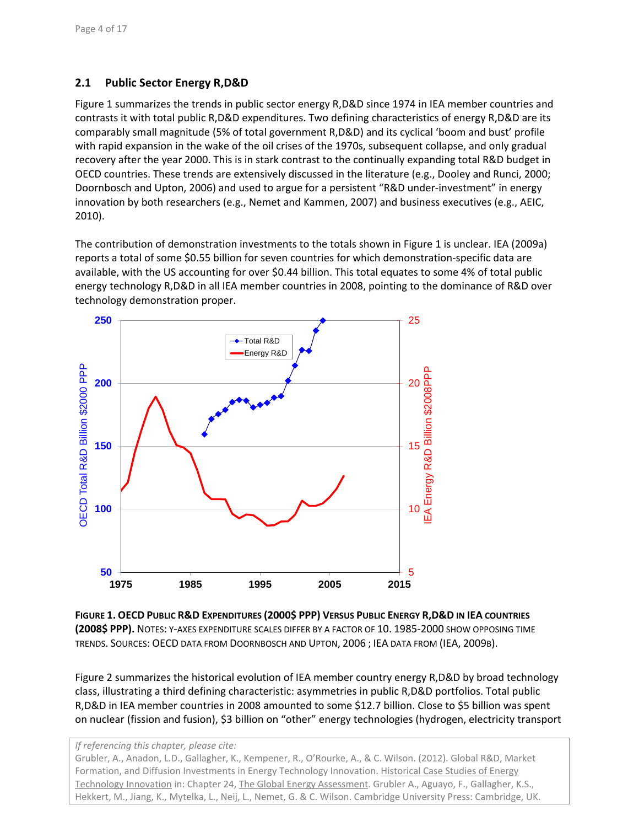### **2.1 Public Sector Energy R,D&D**

Figure 1 summarizes the trends in public sector energy R,D&D since 1974 in IEA member countries and contrasts it with total public R,D&D expenditures. Two defining characteristics of energy R,D&D are its comparably small magnitude (5% of total government R,D&D) and its cyclical 'boom and bust' profile with rapid expansion in the wake of the oil crises of the 1970s, subsequent collapse, and only gradual recovery after the year 2000. This is in stark contrast to the continually expanding total R&D budget in OECD countries. These trends are extensively discussed in the literature (e.g., Dooley and Runci, 2000; Doornbosch and Upton, 2006) and used to argue for a persistent "R&D under‐investment" in energy innovation by both researchers (e.g., Nemet and Kammen, 2007) and business executives (e.g., AEIC, 2010).

The contribution of demonstration investments to the totals shown in Figure 1 is unclear. IEA (2009a) reports a total of some \$0.55 billion for seven countries for which demonstration‐specific data are available, with the US accounting for over \$0.44 billion. This total equates to some 4% of total public energy technology R,D&D in all IEA member countries in 2008, pointing to the dominance of R&D over technology demonstration proper.



**FIGURE 1. OECD PUBLIC R&D EXPENDITURES (2000\$ PPP) VERSUS PUBLIC ENERGY R,D&D IN IEA COUNTRIES (2008\$ PPP).** NOTES: Y‐AXES EXPENDITURE SCALES DIFFER BY A FACTOR OF 10. 1985‐2000 SHOW OPPOSING TIME TRENDS. SOURCES: OECD DATA FROM DOORNBOSCH AND UPTON, 2006 ; IEA DATA FROM (IEA, 2009B).

Figure 2 summarizes the historical evolution of IEA member country energy R,D&D by broad technology class, illustrating a third defining characteristic: asymmetries in public R,D&D portfolios. Total public R,D&D in IEA member countries in 2008 amounted to some \$12.7 billion. Close to \$5 billion was spent on nuclear (fission and fusion), \$3 billion on "other" energy technologies (hydrogen, electricity transport

*If referencing this chapter, please cite:*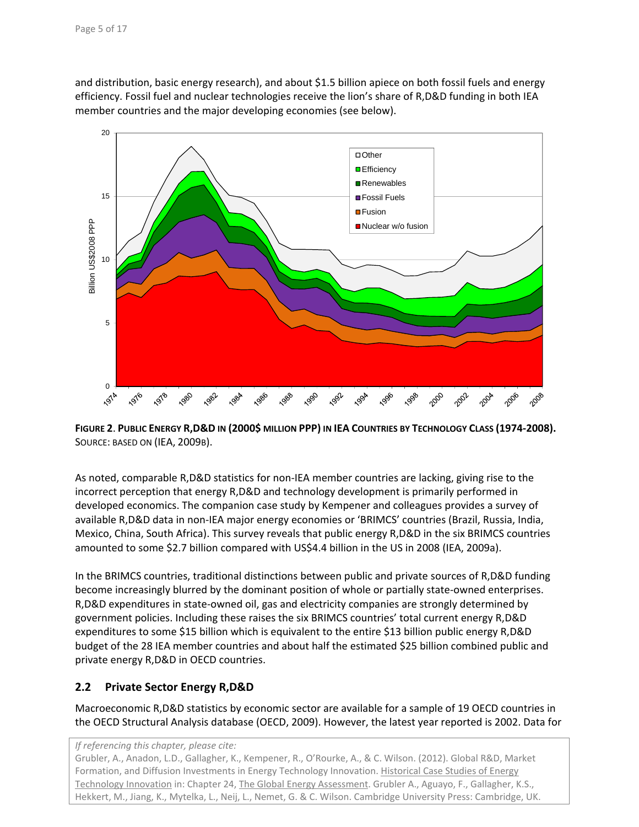and distribution, basic energy research), and about \$1.5 billion apiece on both fossil fuels and energy efficiency. Fossil fuel and nuclear technologies receive the lion's share of R,D&D funding in both IEA member countries and the major developing economies (see below).



FIGURE 2. PUBLIC ENERGY R, D&D IN (2000\$ MILLION PPP) IN IEA COUNTRIES BY TECHNOLOGY CLASS (1974-2008). SOURCE: BASED ON (IEA, 2009B).

As noted, comparable R,D&D statistics for non‐IEA member countries are lacking, giving rise to the incorrect perception that energy R,D&D and technology development is primarily performed in developed economics. The companion case study by Kempener and colleagues provides a survey of available R,D&D data in non‐IEA major energy economies or 'BRIMCS' countries (Brazil, Russia, India, Mexico, China, South Africa). This survey reveals that public energy R,D&D in the six BRIMCS countries amounted to some \$2.7 billion compared with US\$4.4 billion in the US in 2008 (IEA, 2009a).

In the BRIMCS countries, traditional distinctions between public and private sources of R,D&D funding become increasingly blurred by the dominant position of whole or partially state-owned enterprises. R,D&D expenditures in state‐owned oil, gas and electricity companies are strongly determined by government policies. Including these raises the six BRIMCS countries' total current energy R,D&D expenditures to some \$15 billion which is equivalent to the entire \$13 billion public energy R,D&D budget of the 28 IEA member countries and about half the estimated \$25 billion combined public and private energy R,D&D in OECD countries.

#### **2.2 Private Sector Energy R,D&D**

Macroeconomic R,D&D statistics by economic sector are available for a sample of 19 OECD countries in the OECD Structural Analysis database (OECD, 2009). However, the latest year reported is 2002. Data for

*If referencing this chapter, please cite:*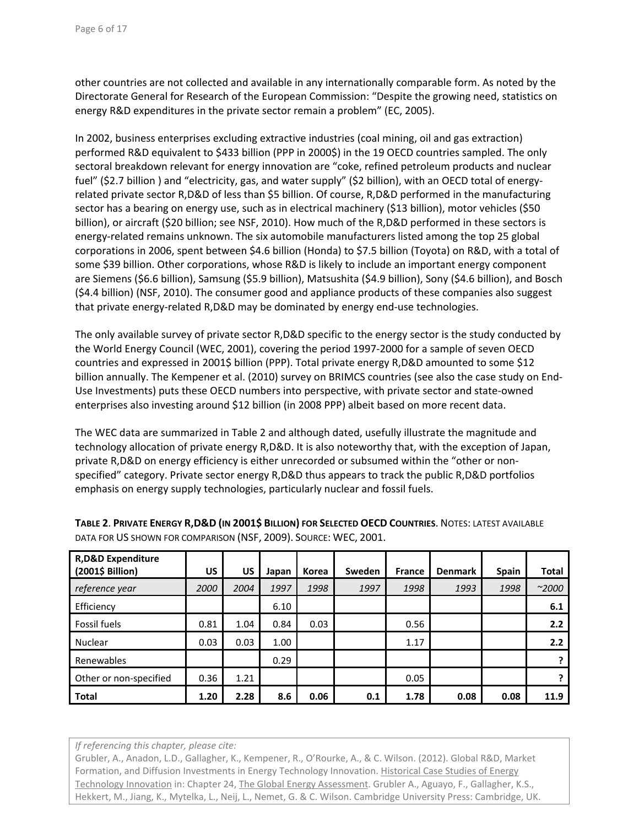other countries are not collected and available in any internationally comparable form. As noted by the Directorate General for Research of the European Commission: "Despite the growing need, statistics on energy R&D expenditures in the private sector remain a problem" (EC, 2005).

In 2002, business enterprises excluding extractive industries (coal mining, oil and gas extraction) performed R&D equivalent to \$433 billion (PPP in 2000\$) in the 19 OECD countries sampled. The only sectoral breakdown relevant for energy innovation are "coke, refined petroleum products and nuclear fuel" (\$2.7 billion) and "electricity, gas, and water supply" (\$2 billion), with an OECD total of energyrelated private sector R,D&D of less than \$5 billion. Of course, R,D&D performed in the manufacturing sector has a bearing on energy use, such as in electrical machinery (\$13 billion), motor vehicles (\$50 billion), or aircraft (\$20 billion; see NSF, 2010). How much of the R,D&D performed in these sectors is energy‐related remains unknown. The six automobile manufacturers listed among the top 25 global corporations in 2006, spent between \$4.6 billion (Honda) to \$7.5 billion (Toyota) on R&D, with a total of some \$39 billion. Other corporations, whose R&D is likely to include an important energy component are Siemens (\$6.6 billion), Samsung (\$5.9 billion), Matsushita (\$4.9 billion), Sony (\$4.6 billion), and Bosch (\$4.4 billion) (NSF, 2010). The consumer good and appliance products of these companies also suggest that private energy‐related R,D&D may be dominated by energy end‐use technologies.

The only available survey of private sector R,D&D specific to the energy sector is the study conducted by the World Energy Council (WEC, 2001), covering the period 1997‐2000 for a sample of seven OECD countries and expressed in 2001\$ billion (PPP). Total private energy R,D&D amounted to some \$12 billion annually. The Kempener et al. (2010) survey on BRIMCS countries (see also the case study on End‐ Use Investments) puts these OECD numbers into perspective, with private sector and state‐owned enterprises also investing around \$12 billion (in 2008 PPP) albeit based on more recent data.

The WEC data are summarized in Table 2 and although dated, usefully illustrate the magnitude and technology allocation of private energy R,D&D. It is also noteworthy that, with the exception of Japan, private R,D&D on energy efficiency is either unrecorded or subsumed within the "other or non‐ specified" category. Private sector energy R,D&D thus appears to track the public R,D&D portfolios emphasis on energy supply technologies, particularly nuclear and fossil fuels.

| <b>R,D&amp;D Expenditure</b><br>(2001\$ Billion) | US   | US   | Japan | Korea | Sweden | France | <b>Denmark</b> | <b>Spain</b> | Total          |
|--------------------------------------------------|------|------|-------|-------|--------|--------|----------------|--------------|----------------|
| reference year                                   | 2000 | 2004 | 1997  | 1998  | 1997   | 1998   | 1993           | 1998         | $^{\sim}$ 2000 |
| Efficiency                                       |      |      | 6.10  |       |        |        |                |              | 6.1            |
| Fossil fuels                                     | 0.81 | 1.04 | 0.84  | 0.03  |        | 0.56   |                |              | 2.2            |
| <b>Nuclear</b>                                   | 0.03 | 0.03 | 1.00  |       |        | 1.17   |                |              | 2.2            |
| Renewables                                       |      |      | 0.29  |       |        |        |                |              |                |
| Other or non-specified                           | 0.36 | 1.21 |       |       |        | 0.05   |                |              |                |
| <b>Total</b>                                     | 1.20 | 2.28 | 8.6   | 0.06  | 0.1    | 1.78   | 0.08           | 0.08         | 11.9           |

**TABLE 2**. **PRIVATE ENERGY R,D&D (IN 2001\$ BILLION) FOR SELECTED OECD COUNTRIES**. NOTES: LATEST AVAILABLE DATA FOR US SHOWN FOR COMPARISON (NSF, 2009). SOURCE: WEC, 2001.

*If referencing this chapter, please cite:*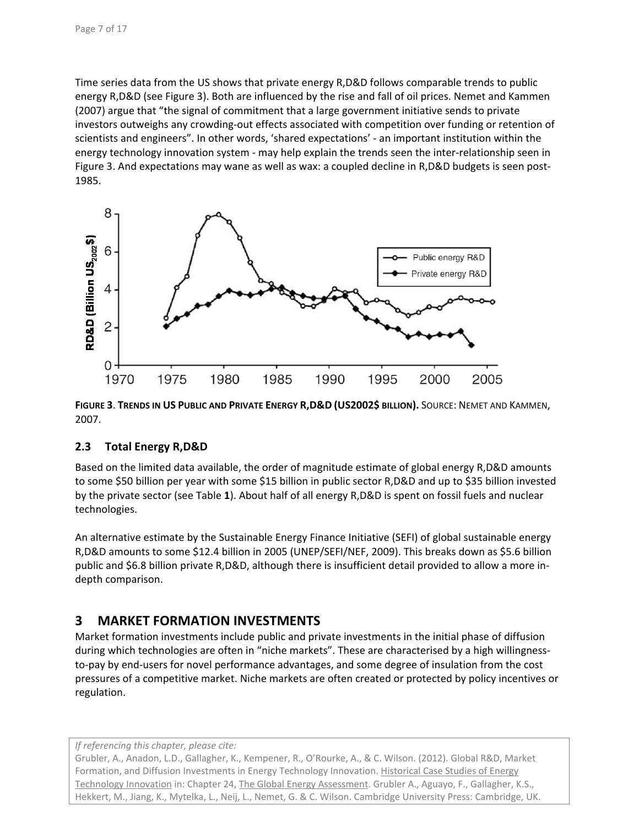Time series data from the US shows that private energy R,D&D follows comparable trends to public energy R,D&D (see Figure 3). Both are influenced by the rise and fall of oil prices. Nemet and Kammen (2007) argue that "the signal of commitment that a large government initiative sends to private investors outweighs any crowding‐out effects associated with competition over funding or retention of scientists and engineers". In other words, 'shared expectations' ‐ an important institution within the energy technology innovation system - may help explain the trends seen the inter-relationship seen in Figure 3. And expectations may wane as well as wax: a coupled decline in R,D&D budgets is seen post-1985.



**FIGURE 3**. **TRENDS IN US PUBLIC AND PRIVATE ENERGY R,D&D (US2002\$ BILLION).** SOURCE: NEMET AND KAMMEN, 2007.

#### **2.3 Total Energy R,D&D**

Based on the limited data available, the order of magnitude estimate of global energy R,D&D amounts to some \$50 billion per year with some \$15 billion in public sector R,D&D and up to \$35 billion invested by the private sector (see Table **1**). About half of all energy R,D&D is spent on fossil fuels and nuclear technologies.

An alternative estimate by the Sustainable Energy Finance Initiative (SEFI) of global sustainable energy R,D&D amounts to some \$12.4 billion in 2005 (UNEP/SEFI/NEF, 2009). This breaks down as \$5.6 billion public and \$6.8 billion private R,D&D, although there is insufficient detail provided to allow a more in‐ depth comparison.

## **3 MARKET FORMATION INVESTMENTS**

Market formation investments include public and private investments in the initial phase of diffusion during which technologies are often in "niche markets". These are characterised by a high willingnessto-pay by end-users for novel performance advantages, and some degree of insulation from the cost pressures of a competitive market. Niche markets are often created or protected by policy incentives or regulation.

*If referencing this chapter, please cite:*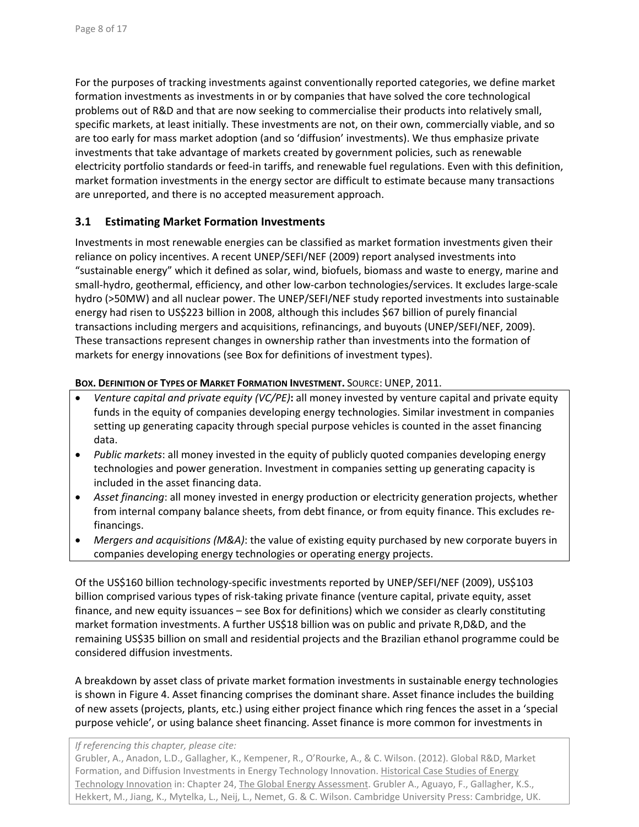For the purposes of tracking investments against conventionally reported categories, we define market formation investments as investments in or by companies that have solved the core technological problems out of R&D and that are now seeking to commercialise their products into relatively small, specific markets, at least initially. These investments are not, on their own, commercially viable, and so are too early for mass market adoption (and so 'diffusion' investments). We thus emphasize private investments that take advantage of markets created by government policies, such as renewable electricity portfolio standards or feed-in tariffs, and renewable fuel regulations. Even with this definition, market formation investments in the energy sector are difficult to estimate because many transactions are unreported, and there is no accepted measurement approach.

### **3.1 Estimating Market Formation Investments**

Investments in most renewable energies can be classified as market formation investments given their reliance on policy incentives. A recent UNEP/SEFI/NEF (2009) report analysed investments into "sustainable energy" which it defined as solar, wind, biofuels, biomass and waste to energy, marine and small-hydro, geothermal, efficiency, and other low-carbon technologies/services. It excludes large-scale hydro (>50MW) and all nuclear power. The UNEP/SEFI/NEF study reported investments into sustainable energy had risen to US\$223 billion in 2008, although this includes \$67 billion of purely financial transactions including mergers and acquisitions, refinancings, and buyouts (UNEP/SEFI/NEF, 2009). These transactions represent changes in ownership rather than investments into the formation of markets for energy innovations (see Box for definitions of investment types).

#### **BOX. DEFINITION OF TYPES OF MARKET FORMATION INVESTMENT.** SOURCE: UNEP, 2011.

- *Venture capital and private equity (VC/PE)***:** all money invested by venture capital and private equity funds in the equity of companies developing energy technologies. Similar investment in companies setting up generating capacity through special purpose vehicles is counted in the asset financing data.
- *Public markets*: all money invested in the equity of publicly quoted companies developing energy technologies and power generation. Investment in companies setting up generating capacity is included in the asset financing data.
- *Asset financing*: all money invested in energy production or electricity generation projects, whether from internal company balance sheets, from debt finance, or from equity finance. This excludes re‐ financings.
- *Mergers and acquisitions (M&A)*: the value of existing equity purchased by new corporate buyers in companies developing energy technologies or operating energy projects.

Of the US\$160 billion technology‐specific investments reported by UNEP/SEFI/NEF (2009), US\$103 billion comprised various types of risk‐taking private finance (venture capital, private equity, asset finance, and new equity issuances – see Box for definitions) which we consider as clearly constituting market formation investments. A further US\$18 billion was on public and private R,D&D, and the remaining US\$35 billion on small and residential projects and the Brazilian ethanol programme could be considered diffusion investments.

A breakdown by asset class of private market formation investments in sustainable energy technologies is shown in Figure 4. Asset financing comprises the dominant share. Asset finance includes the building of new assets (projects, plants, etc.) using either project finance which ring fences the asset in a 'special purpose vehicle', or using balance sheet financing. Asset finance is more common for investments in

*If referencing this chapter, please cite:*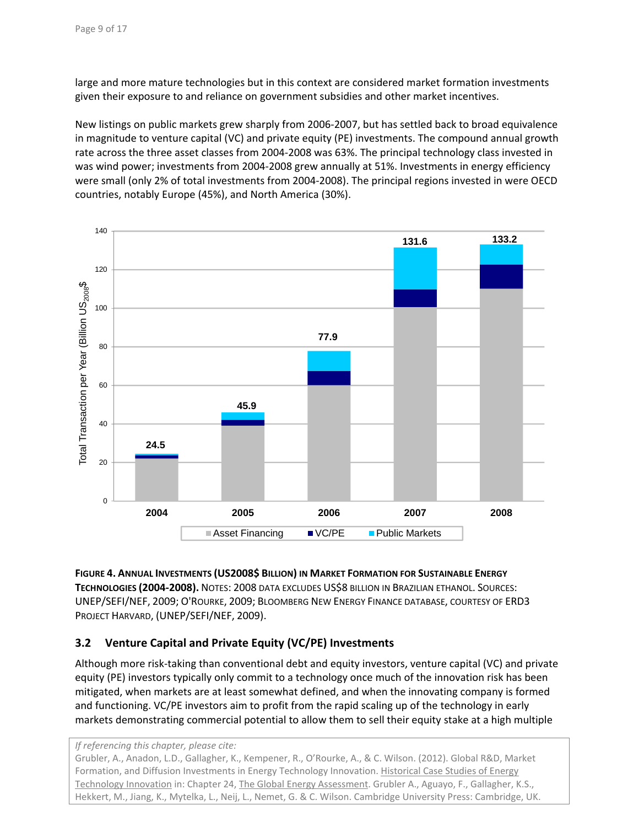large and more mature technologies but in this context are considered market formation investments given their exposure to and reliance on government subsidies and other market incentives.

New listings on public markets grew sharply from 2006‐2007, but has settled back to broad equivalence in magnitude to venture capital (VC) and private equity (PE) investments. The compound annual growth rate across the three asset classes from 2004‐2008 was 63%. The principal technology class invested in was wind power; investments from 2004‐2008 grew annually at 51%. Investments in energy efficiency were small (only 2% of total investments from 2004‐2008). The principal regions invested in were OECD countries, notably Europe (45%), and North America (30%).



**FIGURE 4. ANNUAL INVESTMENTS (US2008\$ BILLION) IN MARKET FORMATION FOR SUSTAINABLE ENERGY TECHNOLOGIES (2004‐2008).** NOTES: 2008 DATA EXCLUDES US\$8 BILLION IN BRAZILIAN ETHANOL. SOURCES: UNEP/SEFI/NEF, 2009; O'ROURKE, 2009; BLOOMBERG NEW ENERGY FINANCE DATABASE, COURTESY OF ERD3 PROJECT HARVARD, (UNEP/SEFI/NEF, 2009).

## **3.2 Venture Capital and Private Equity (VC/PE) Investments**

Although more risk‐taking than conventional debt and equity investors, venture capital (VC) and private equity (PE) investors typically only commit to a technology once much of the innovation risk has been mitigated, when markets are at least somewhat defined, and when the innovating company is formed and functioning. VC/PE investors aim to profit from the rapid scaling up of the technology in early markets demonstrating commercial potential to allow them to sell their equity stake at a high multiple

*If referencing this chapter, please cite:*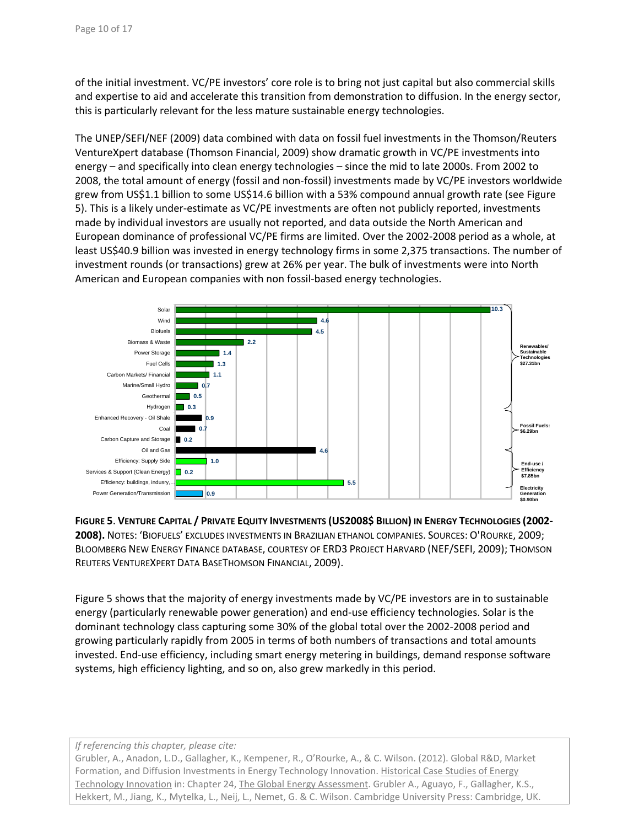of the initial investment. VC/PE investors' core role is to bring not just capital but also commercial skills and expertise to aid and accelerate this transition from demonstration to diffusion. In the energy sector, this is particularly relevant for the less mature sustainable energy technologies.

The UNEP/SEFI/NEF (2009) data combined with data on fossil fuel investments in the Thomson/Reuters VentureXpert database (Thomson Financial, 2009) show dramatic growth in VC/PE investments into energy – and specifically into clean energy technologies – since the mid to late 2000s. From 2002 to 2008, the total amount of energy (fossil and non‐fossil) investments made by VC/PE investors worldwide grew from US\$1.1 billion to some US\$14.6 billion with a 53% compound annual growth rate (see Figure 5). This is a likely under‐estimate as VC/PE investments are often not publicly reported, investments made by individual investors are usually not reported, and data outside the North American and European dominance of professional VC/PE firms are limited. Over the 2002‐2008 period as a whole, at least US\$40.9 billion was invested in energy technology firms in some 2,375 transactions. The number of investment rounds (or transactions) grew at 26% per year. The bulk of investments were into North American and European companies with non fossil‐based energy technologies.



**FIGURE 5**. **VENTURE CAPITAL / PRIVATE EQUITY INVESTMENTS (US2008\$ BILLION) IN ENERGY TECHNOLOGIES (2002‐ 2008).** NOTES: 'BIOFUELS' EXCLUDES INVESTMENTS IN BRAZILIAN ETHANOL COMPANIES. SOURCES: O'ROURKE, 2009; BLOOMBERG NEW ENERGY FINANCE DATABASE, COURTESY OF ERD3 PROJECT HARVARD (NEF/SEFI, 2009); THOMSON REUTERS VENTUREXPERT DATA BASETHOMSON FINANCIAL, 2009).

Figure 5 shows that the majority of energy investments made by VC/PE investors are in to sustainable energy (particularly renewable power generation) and end‐use efficiency technologies. Solar is the dominant technology class capturing some 30% of the global total over the 2002‐2008 period and growing particularly rapidly from 2005 in terms of both numbers of transactions and total amounts invested. End‐use efficiency, including smart energy metering in buildings, demand response software systems, high efficiency lighting, and so on, also grew markedly in this period.

*If referencing this chapter, please cite:*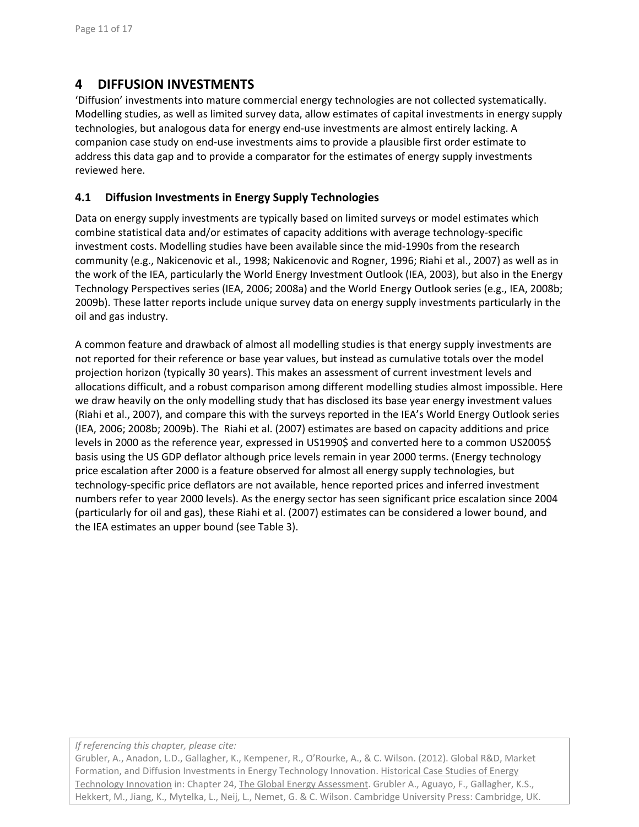# **4 DIFFUSION INVESTMENTS**

'Diffusion' investments into mature commercial energy technologies are not collected systematically. Modelling studies, as well as limited survey data, allow estimates of capital investments in energy supply technologies, but analogous data for energy end‐use investments are almost entirely lacking. A companion case study on end‐use investments aims to provide a plausible first order estimate to address this data gap and to provide a comparator for the estimates of energy supply investments reviewed here.

## **4.1 Diffusion Investments in Energy Supply Technologies**

Data on energy supply investments are typically based on limited surveys or model estimates which combine statistical data and/or estimates of capacity additions with average technology‐specific investment costs. Modelling studies have been available since the mid-1990s from the research community (e.g., Nakicenovic et al., 1998; Nakicenovic and Rogner, 1996; Riahi et al., 2007) as well as in the work of the IEA, particularly the World Energy Investment Outlook (IEA, 2003), but also in the Energy Technology Perspectives series (IEA, 2006; 2008a) and the World Energy Outlook series (e.g., IEA, 2008b; 2009b). These latter reports include unique survey data on energy supply investments particularly in the oil and gas industry.

A common feature and drawback of almost all modelling studies is that energy supply investments are not reported for their reference or base year values, but instead as cumulative totals over the model projection horizon (typically 30 years). This makes an assessment of current investment levels and allocations difficult, and a robust comparison among different modelling studies almost impossible. Here we draw heavily on the only modelling study that has disclosed its base year energy investment values (Riahi et al., 2007), and compare this with the surveys reported in the IEA's World Energy Outlook series (IEA, 2006; 2008b; 2009b). The Riahi et al. (2007) estimates are based on capacity additions and price levels in 2000 as the reference year, expressed in US1990\$ and converted here to a common US2005\$ basis using the US GDP deflator although price levels remain in year 2000 terms. (Energy technology price escalation after 2000 is a feature observed for almost all energy supply technologies, but technology‐specific price deflators are not available, hence reported prices and inferred investment numbers refer to year 2000 levels). As the energy sector has seen significant price escalation since 2004 (particularly for oil and gas), these Riahi et al. (2007) estimates can be considered a lower bound, and the IEA estimates an upper bound (see Table 3).

*If referencing this chapter, please cite:*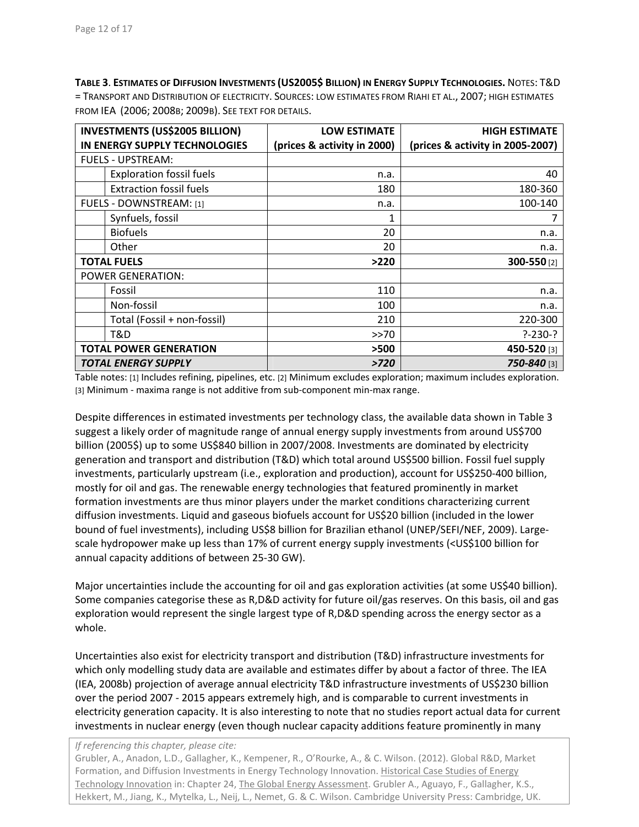**TABLE 3**. **ESTIMATES OF DIFFUSION INVESTMENTS (US2005\$ BILLION) IN ENERGY SUPPLY TECHNOLOGIES.** NOTES: T&D = TRANSPORT AND DISTRIBUTION OF ELECTRICITY. SOURCES: LOW ESTIMATES FROM RIAHI ET AL., 2007; HIGH ESTIMATES FROM IEA (2006; 2008B; 2009B). SEE TEXT FOR DETAILS.

| <b>INVESTMENTS (US\$2005 BILLION)</b> | <b>LOW ESTIMATE</b>         | <b>HIGH ESTIMATE</b>             |
|---------------------------------------|-----------------------------|----------------------------------|
| IN ENERGY SUPPLY TECHNOLOGIES         | (prices & activity in 2000) | (prices & activity in 2005-2007) |
| <b>FUELS - UPSTREAM:</b>              |                             |                                  |
| <b>Exploration fossil fuels</b>       | n.a.                        | 40                               |
| <b>Extraction fossil fuels</b>        | 180                         | 180-360                          |
| FUELS - DOWNSTREAM: [1]               | n.a.                        | 100-140                          |
| Synfuels, fossil                      | 1                           | 7                                |
| <b>Biofuels</b>                       | 20                          | n.a.                             |
| Other                                 | 20                          | n.a.                             |
| <b>TOTAL FUELS</b>                    | >220                        | 300-550 [2]                      |
| <b>POWER GENERATION:</b>              |                             |                                  |
| Fossil                                | 110                         | n.a.                             |
| Non-fossil                            | 100                         | n.a.                             |
| Total (Fossil + non-fossil)           | 210                         | 220-300                          |
| T&D                                   | >>70                        | $? - 230 - ?$                    |
| <b>TOTAL POWER GENERATION</b>         | >500                        | 450-520 [3]                      |
| <b>TOTAL ENERGY SUPPLY</b>            | >720                        | 750-840 [3]                      |

Table notes: [1] Includes refining, pipelines, etc. [2] Minimum excludes exploration; maximum includes exploration. [3] Minimum - maxima range is not additive from sub-component min-max range.

Despite differences in estimated investments per technology class, the available data shown in Table 3 suggest a likely order of magnitude range of annual energy supply investments from around US\$700 billion (2005\$) up to some US\$840 billion in 2007/2008. Investments are dominated by electricity generation and transport and distribution (T&D) which total around US\$500 billion. Fossil fuel supply investments, particularly upstream (i.e., exploration and production), account for US\$250‐400 billion, mostly for oil and gas. The renewable energy technologies that featured prominently in market formation investments are thus minor players under the market conditions characterizing current diffusion investments. Liquid and gaseous biofuels account for US\$20 billion (included in the lower bound of fuel investments), including US\$8 billion for Brazilian ethanol (UNEP/SEFI/NEF, 2009). Large‐ scale hydropower make up less than 17% of current energy supply investments (<US\$100 billion for annual capacity additions of between 25‐30 GW).

Major uncertainties include the accounting for oil and gas exploration activities (at some US\$40 billion). Some companies categorise these as R,D&D activity for future oil/gas reserves. On this basis, oil and gas exploration would represent the single largest type of R,D&D spending across the energy sector as a whole.

Uncertainties also exist for electricity transport and distribution (T&D) infrastructure investments for which only modelling study data are available and estimates differ by about a factor of three. The IEA (IEA, 2008b) projection of average annual electricity T&D infrastructure investments of US\$230 billion over the period 2007 ‐ 2015 appears extremely high, and is comparable to current investments in electricity generation capacity. It is also interesting to note that no studies report actual data for current investments in nuclear energy (even though nuclear capacity additions feature prominently in many

*If referencing this chapter, please cite:*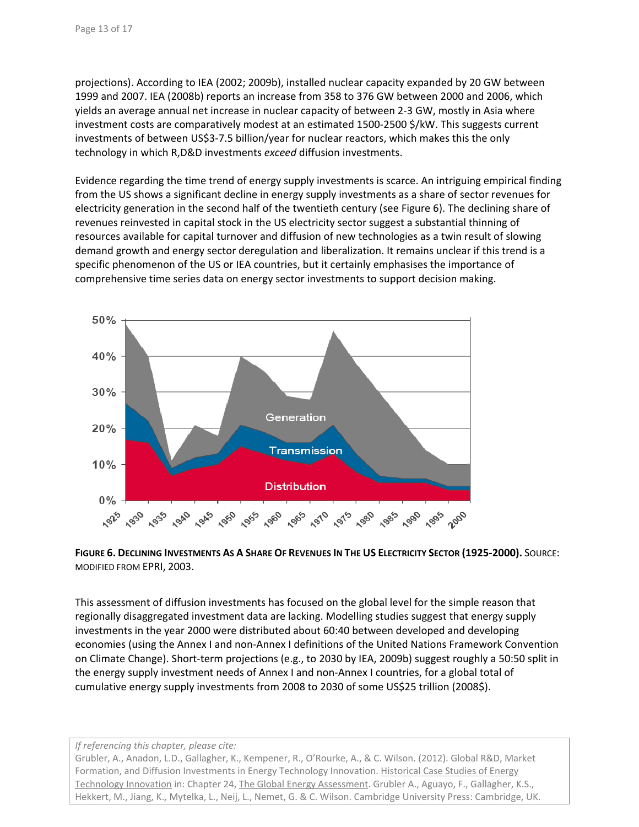projections). According to IEA (2002; 2009b), installed nuclear capacity expanded by 20 GW between 1999 and 2007. IEA (2008b) reports an increase from 358 to 376 GW between 2000 and 2006, which yields an average annual net increase in nuclear capacity of between 2‐3 GW, mostly in Asia where investment costs are comparatively modest at an estimated 1500‐2500 \$/kW. This suggests current investments of between US\$3‐7.5 billion/year for nuclear reactors, which makes this the only technology in which R,D&D investments *exceed* diffusion investments.

Evidence regarding the time trend of energy supply investments is scarce. An intriguing empirical finding from the US shows a significant decline in energy supply investments as a share of sector revenues for electricity generation in the second half of the twentieth century (see Figure 6). The declining share of revenues reinvested in capital stock in the US electricity sector suggest a substantial thinning of resources available for capital turnover and diffusion of new technologies as a twin result of slowing demand growth and energy sector deregulation and liberalization. It remains unclear if this trend is a specific phenomenon of the US or IEA countries, but it certainly emphasises the importance of comprehensive time series data on energy sector investments to support decision making.



**FIGURE 6. DECLINING INVESTMENTS AS A SHARE OF REVENUES IN THE US ELECTRICITY SECTOR (1925‐2000).** SOURCE: MODIFIED FROM EPRI, 2003.

This assessment of diffusion investments has focused on the global level for the simple reason that regionally disaggregated investment data are lacking. Modelling studies suggest that energy supply investments in the year 2000 were distributed about 60:40 between developed and developing economies (using the Annex I and non‐Annex I definitions of the United Nations Framework Convention on Climate Change). Short‐term projections (e.g., to 2030 by IEA, 2009b) suggest roughly a 50:50 split in the energy supply investment needs of Annex I and non-Annex I countries, for a global total of cumulative energy supply investments from 2008 to 2030 of some US\$25 trillion (2008\$).

*If referencing this chapter, please cite:*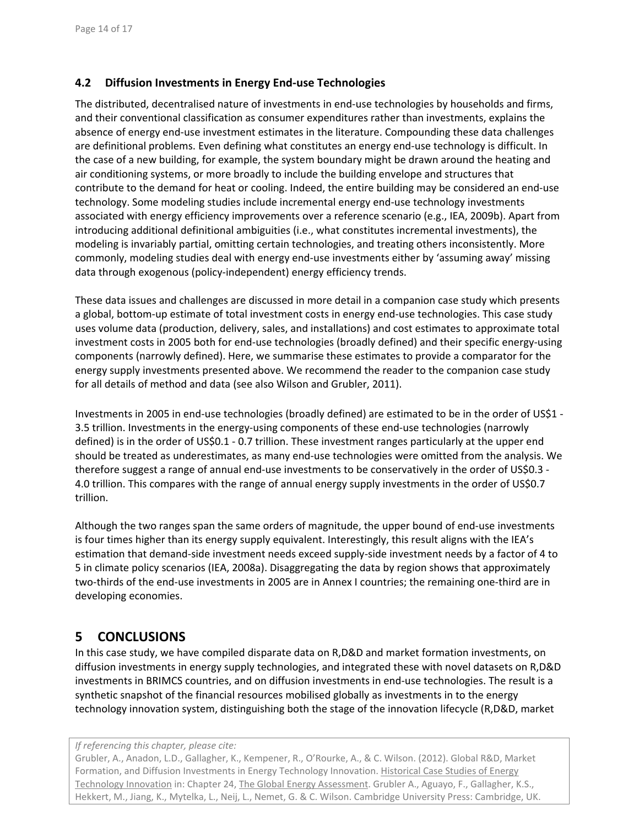## **4.2 Diffusion Investments in Energy End‐use Technologies**

The distributed, decentralised nature of investments in end‐use technologies by households and firms, and their conventional classification as consumer expenditures rather than investments, explains the absence of energy end‐use investment estimates in the literature. Compounding these data challenges are definitional problems. Even defining what constitutes an energy end‐use technology is difficult. In the case of a new building, for example, the system boundary might be drawn around the heating and air conditioning systems, or more broadly to include the building envelope and structures that contribute to the demand for heat or cooling. Indeed, the entire building may be considered an end‐use technology. Some modeling studies include incremental energy end‐use technology investments associated with energy efficiency improvements over a reference scenario (e.g., IEA, 2009b). Apart from introducing additional definitional ambiguities (i.e., what constitutes incremental investments), the modeling is invariably partial, omitting certain technologies, and treating others inconsistently. More commonly, modeling studies deal with energy end‐use investments either by 'assuming away' missing data through exogenous (policy‐independent) energy efficiency trends.

These data issues and challenges are discussed in more detail in a companion case study which presents a global, bottom-up estimate of total investment costs in energy end-use technologies. This case study uses volume data (production, delivery, sales, and installations) and cost estimates to approximate total investment costs in 2005 both for end‐use technologies (broadly defined) and their specific energy‐using components (narrowly defined). Here, we summarise these estimates to provide a comparator for the energy supply investments presented above. We recommend the reader to the companion case study for all details of method and data (see also Wilson and Grubler, 2011).

Investments in 2005 in end‐use technologies (broadly defined) are estimated to be in the order of US\$1 ‐ 3.5 trillion. Investments in the energy-using components of these end-use technologies (narrowly defined) is in the order of US\$0.1 ‐ 0.7 trillion. These investment ranges particularly at the upper end should be treated as underestimates, as many end‐use technologies were omitted from the analysis. We therefore suggest a range of annual end-use investments to be conservatively in the order of US\$0.3 -4.0 trillion. This compares with the range of annual energy supply investments in the order of US\$0.7 trillion.

Although the two ranges span the same orders of magnitude, the upper bound of end‐use investments is four times higher than its energy supply equivalent. Interestingly, this result aligns with the IEA's estimation that demand‐side investment needs exceed supply‐side investment needs by a factor of 4 to 5 in climate policy scenarios (IEA, 2008a). Disaggregating the data by region shows that approximately two-thirds of the end-use investments in 2005 are in Annex I countries; the remaining one-third are in developing economies.

# **5 CONCLUSIONS**

In this case study, we have compiled disparate data on R,D&D and market formation investments, on diffusion investments in energy supply technologies, and integrated these with novel datasets on R,D&D investments in BRIMCS countries, and on diffusion investments in end-use technologies. The result is a synthetic snapshot of the financial resources mobilised globally as investments in to the energy technology innovation system, distinguishing both the stage of the innovation lifecycle (R,D&D, market

#### *If referencing this chapter, please cite:*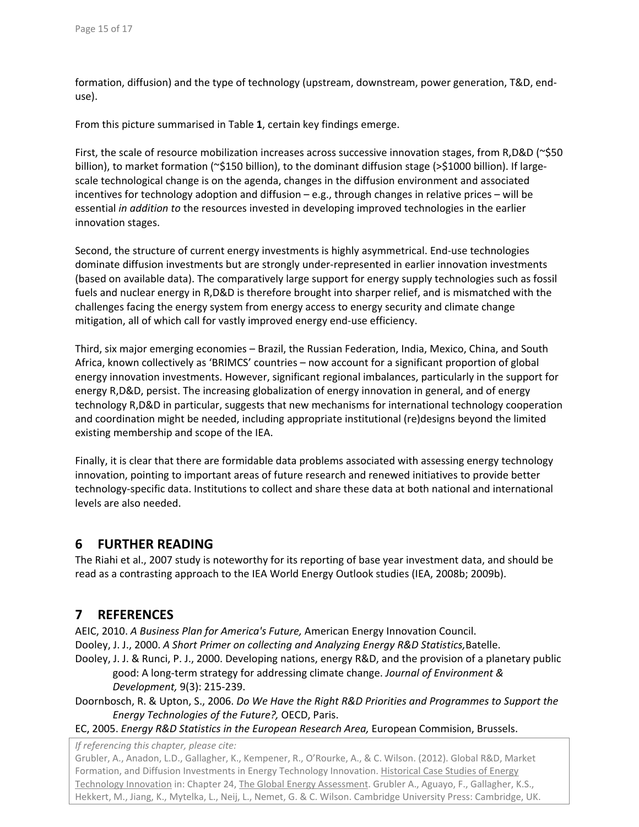formation, diffusion) and the type of technology (upstream, downstream, power generation, T&D, end‐ use).

From this picture summarised in Table **1**, certain key findings emerge.

First, the scale of resource mobilization increases across successive innovation stages, from R,D&D (~\$50) billion), to market formation (~\$150 billion), to the dominant diffusion stage (>\$1000 billion). If large‐ scale technological change is on the agenda, changes in the diffusion environment and associated incentives for technology adoption and diffusion – e.g., through changes in relative prices – will be essential *in addition to* the resources invested in developing improved technologies in the earlier innovation stages.

Second, the structure of current energy investments is highly asymmetrical. End‐use technologies dominate diffusion investments but are strongly under‐represented in earlier innovation investments (based on available data). The comparatively large support for energy supply technologies such as fossil fuels and nuclear energy in R,D&D is therefore brought into sharper relief, and is mismatched with the challenges facing the energy system from energy access to energy security and climate change mitigation, all of which call for vastly improved energy end‐use efficiency.

Third, six major emerging economies – Brazil, the Russian Federation, India, Mexico, China, and South Africa, known collectively as 'BRIMCS' countries – now account for a significant proportion of global energy innovation investments. However, significant regional imbalances, particularly in the support for energy R,D&D, persist. The increasing globalization of energy innovation in general, and of energy technology R,D&D in particular, suggests that new mechanisms for international technology cooperation and coordination might be needed, including appropriate institutional (re)designs beyond the limited existing membership and scope of the IEA.

Finally, it is clear that there are formidable data problems associated with assessing energy technology innovation, pointing to important areas of future research and renewed initiatives to provide better technology‐specific data. Institutions to collect and share these data at both national and international levels are also needed.

# **6 FURTHER READING**

The Riahi et al., 2007 study is noteworthy for its reporting of base year investment data, and should be read as a contrasting approach to the IEA World Energy Outlook studies (IEA, 2008b; 2009b).

# **7 REFERENCES**

AEIC, 2010. *A Business Plan for America's Future,* American Energy Innovation Council. Dooley, J. J., 2000. *A Short Primer on collecting and Analyzing Energy R&D Statistics,*Batelle. Dooley, J. J. & Runci, P. J., 2000. Developing nations, energy R&D, and the provision of a planetary public

good: A long‐term strategy for addressing climate change. *Journal of Environment & Development,* 9(3): 215‐239.

Doornbosch, R. & Upton, S., 2006. *Do We Have the Right R&D Priorities and Programmes to Support the Energy Technologies of the Future?,* OECD, Paris.

#### EC, 2005. *Energy R&D Statistics in the European Research Area,* European Commision, Brussels.

*If referencing this chapter, please cite:*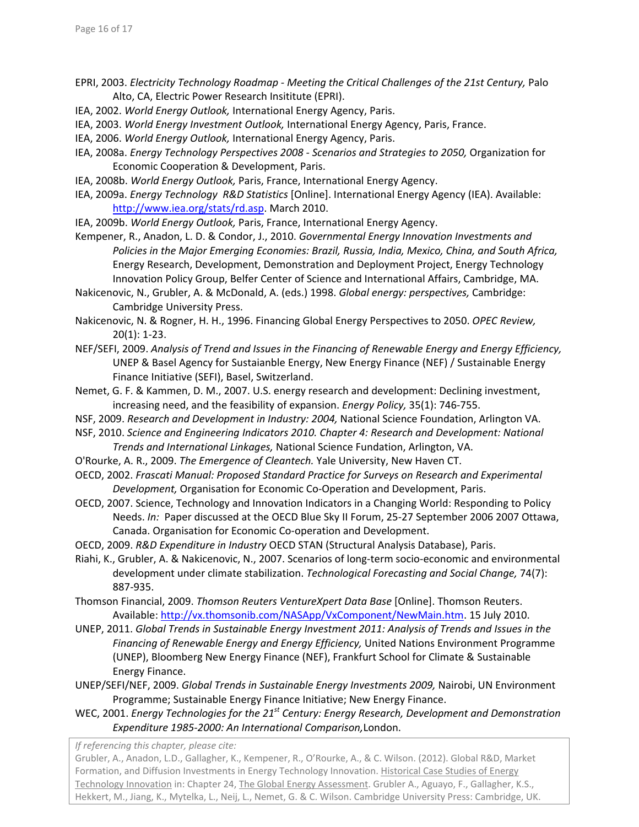- EPRI, 2003. *Electricity Technology Roadmap ‐ Meeting the Critical Challenges of the 21st Century,* Palo Alto, CA, Electric Power Research Insititute (EPRI).
- IEA, 2002. *World Energy Outlook,* International Energy Agency, Paris.
- IEA, 2003. *World Energy Investment Outlook,* International Energy Agency, Paris, France.
- IEA, 2006. *World Energy Outlook,* International Energy Agency, Paris.
- IEA, 2008a. *Energy Technology Perspectives 2008 ‐ Scenarios and Strategies to 2050,* Organization for Economic Cooperation & Development, Paris.
- IEA, 2008b. *World Energy Outlook,* Paris, France, International Energy Agency.
- IEA, 2009a. *Energy Technology R&D Statistics* [Online]. International Energy Agency (IEA). Available: http://www.iea.org/stats/rd.asp. March 2010.
- IEA, 2009b. *World Energy Outlook,* Paris, France, International Energy Agency.
- Kempener, R., Anadon, L. D. & Condor, J., 2010. *Governmental Energy Innovation Investments and Policies in the Major Emerging Economies: Brazil, Russia, India, Mexico, China, and South Africa,* Energy Research, Development, Demonstration and Deployment Project, Energy Technology Innovation Policy Group, Belfer Center of Science and International Affairs, Cambridge, MA.
- Nakicenovic, N., Grubler, A. & McDonald, A. (eds.) 1998. *Global energy: perspectives,* Cambridge: Cambridge University Press.
- Nakicenovic, N. & Rogner, H. H., 1996. Financing Global Energy Perspectives to 2050. *OPEC Review,* 20(1): 1‐23.
- NEF/SEFI, 2009. *Analysis of Trend and Issues in the Financing of Renewable Energy and Energy Efficiency,* UNEP & Basel Agency for Sustaianble Energy, New Energy Finance (NEF) / Sustainable Energy Finance Initiative (SEFI), Basel, Switzerland.
- Nemet, G. F. & Kammen, D. M., 2007. U.S. energy research and development: Declining investment, increasing need, and the feasibility of expansion. *Energy Policy,* 35(1): 746‐755.
- NSF, 2009. *Research and Development in Industry: 2004,* National Science Foundation, Arlington VA.
- NSF, 2010. *Science and Engineering Indicators 2010. Chapter 4: Research and Development: National Trends and International Linkages,* National Science Fundation, Arlington, VA.
- O'Rourke, A. R., 2009. *The Emergence of Cleantech.* Yale University, New Haven CT.
- OECD, 2002. *Frascati Manual: Proposed Standard Practice for Surveys on Research and Experimental Development,* Organisation for Economic Co‐Operation and Development, Paris.
- OECD, 2007. Science, Technology and Innovation Indicators in a Changing World: Responding to Policy Needs. *In:* Paper discussed at the OECD Blue Sky II Forum, 25‐27 September 2006 2007 Ottawa, Canada. Organisation for Economic Co‐operation and Development.
- OECD, 2009. *R&D Expenditure in Industry* OECD STAN (Structural Analysis Database), Paris.
- Riahi, K., Grubler, A. & Nakicenovic, N., 2007. Scenarios of long‐term socio‐economic and environmental development under climate stabilization. *Technological Forecasting and Social Change,* 74(7): 887‐935.
- Thomson Financial, 2009. *Thomson Reuters VentureXpert Data Base* [Online]. Thomson Reuters. Available: http://vx.thomsonib.com/NASApp/VxComponent/NewMain.htm. 15 July 2010.
- UNEP, 2011. *Global Trends in Sustainable Energy Investment 2011: Analysis of Trends and Issues in the Financing of Renewable Energy and Energy Efficiency,* United Nations Environment Programme (UNEP), Bloomberg New Energy Finance (NEF), Frankfurt School for Climate & Sustainable Energy Finance.
- UNEP/SEFI/NEF, 2009. *Global Trends in Sustainable Energy Investments 2009,* Nairobi, UN Environment Programme; Sustainable Energy Finance Initiative; New Energy Finance.
- WEC, 2001. *Energy Technologies for the 21st Century: Energy Research, Development and Demonstration Expenditure 1985‐2000: An International Comparison,*London.

*If referencing this chapter, please cite:*